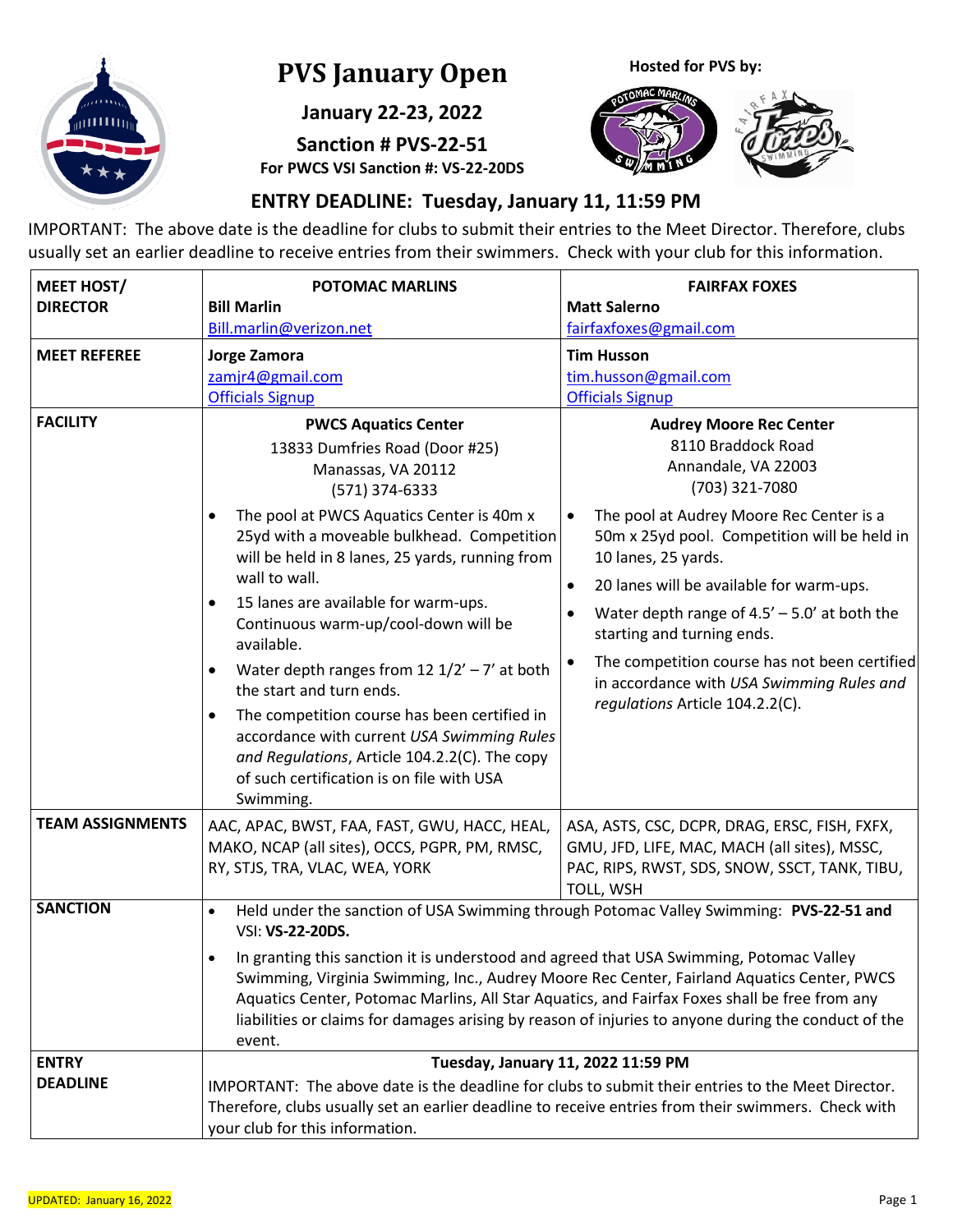

# **PVS January Open**

**January 22-23, 2022**

**Sanction # PVS-22-51 For PWCS VSI Sanction #: VS-22-20DS** **Hosted for PVS by:**



## **ENTRY DEADLINE: Tuesday, January 11, 11:59 PM**

IMPORTANT: The above date is the deadline for clubs to submit their entries to the Meet Director. Therefore, clubs usually set an earlier deadline to receive entries from their swimmers. Check with your club for this information.

| <b>MEET HOST/</b>               | <b>POTOMAC MARLINS</b>                                                                                                                                                                                                                                                                                                                                                                                                                                                                                                                                                                                                                                                                                        | <b>FAIRFAX FOXES</b>                                                                                                                                                                                                                                                                                                                                                                                                                                                                                                              |  |  |  |
|---------------------------------|---------------------------------------------------------------------------------------------------------------------------------------------------------------------------------------------------------------------------------------------------------------------------------------------------------------------------------------------------------------------------------------------------------------------------------------------------------------------------------------------------------------------------------------------------------------------------------------------------------------------------------------------------------------------------------------------------------------|-----------------------------------------------------------------------------------------------------------------------------------------------------------------------------------------------------------------------------------------------------------------------------------------------------------------------------------------------------------------------------------------------------------------------------------------------------------------------------------------------------------------------------------|--|--|--|
| <b>DIRECTOR</b>                 | <b>Bill Marlin</b>                                                                                                                                                                                                                                                                                                                                                                                                                                                                                                                                                                                                                                                                                            | <b>Matt Salerno</b>                                                                                                                                                                                                                                                                                                                                                                                                                                                                                                               |  |  |  |
|                                 | Bill.marlin@verizon.net                                                                                                                                                                                                                                                                                                                                                                                                                                                                                                                                                                                                                                                                                       | fairfaxfoxes@gmail.com                                                                                                                                                                                                                                                                                                                                                                                                                                                                                                            |  |  |  |
| <b>MEET REFEREE</b>             | Jorge Zamora<br>zamjr4@gmail.com<br><b>Officials Signup</b>                                                                                                                                                                                                                                                                                                                                                                                                                                                                                                                                                                                                                                                   | <b>Tim Husson</b><br>tim.husson@gmail.com<br><b>Officials Signup</b>                                                                                                                                                                                                                                                                                                                                                                                                                                                              |  |  |  |
| <b>FACILITY</b>                 | <b>PWCS Aquatics Center</b><br>13833 Dumfries Road (Door #25)<br>Manassas, VA 20112<br>(571) 374-6333<br>The pool at PWCS Aquatics Center is 40m x<br>$\bullet$<br>25yd with a moveable bulkhead. Competition<br>will be held in 8 lanes, 25 yards, running from<br>wall to wall.<br>15 lanes are available for warm-ups.<br>$\bullet$<br>Continuous warm-up/cool-down will be<br>available.<br>Water depth ranges from 12 $1/2'$ - 7' at both<br>$\bullet$<br>the start and turn ends.<br>The competition course has been certified in<br>$\bullet$<br>accordance with current USA Swimming Rules<br>and Regulations, Article 104.2.2(C). The copy<br>of such certification is on file with USA<br>Swimming. | <b>Audrey Moore Rec Center</b><br>8110 Braddock Road<br>Annandale, VA 22003<br>(703) 321-7080<br>The pool at Audrey Moore Rec Center is a<br>$\bullet$<br>50m x 25yd pool. Competition will be held in<br>10 lanes, 25 yards.<br>20 lanes will be available for warm-ups.<br>$\bullet$<br>Water depth range of $4.5' - 5.0'$ at both the<br>$\bullet$<br>starting and turning ends.<br>The competition course has not been certified<br>$\bullet$<br>in accordance with USA Swimming Rules and<br>regulations Article 104.2.2(C). |  |  |  |
| <b>TEAM ASSIGNMENTS</b>         | AAC, APAC, BWST, FAA, FAST, GWU, HACC, HEAL,<br>MAKO, NCAP (all sites), OCCS, PGPR, PM, RMSC,<br>RY, STJS, TRA, VLAC, WEA, YORK                                                                                                                                                                                                                                                                                                                                                                                                                                                                                                                                                                               | ASA, ASTS, CSC, DCPR, DRAG, ERSC, FISH, FXFX,<br>GMU, JFD, LIFE, MAC, MACH (all sites), MSSC,<br>PAC, RIPS, RWST, SDS, SNOW, SSCT, TANK, TIBU,<br>TOLL, WSH                                                                                                                                                                                                                                                                                                                                                                       |  |  |  |
| <b>SANCTION</b><br><b>ENTRY</b> | Held under the sanction of USA Swimming through Potomac Valley Swimming: PVS-22-51 and<br>$\bullet$<br>VSI: VS-22-20DS.<br>In granting this sanction it is understood and agreed that USA Swimming, Potomac Valley<br>$\bullet$<br>Swimming, Virginia Swimming, Inc., Audrey Moore Rec Center, Fairland Aquatics Center, PWCS<br>Aquatics Center, Potomac Marlins, All Star Aquatics, and Fairfax Foxes shall be free from any<br>liabilities or claims for damages arising by reason of injuries to anyone during the conduct of the<br>event.<br>Tuesday, January 11, 2022 11:59 PM                                                                                                                         |                                                                                                                                                                                                                                                                                                                                                                                                                                                                                                                                   |  |  |  |
| <b>DEADLINE</b>                 | IMPORTANT: The above date is the deadline for clubs to submit their entries to the Meet Director.<br>Therefore, clubs usually set an earlier deadline to receive entries from their swimmers. Check with<br>your club for this information.                                                                                                                                                                                                                                                                                                                                                                                                                                                                   |                                                                                                                                                                                                                                                                                                                                                                                                                                                                                                                                   |  |  |  |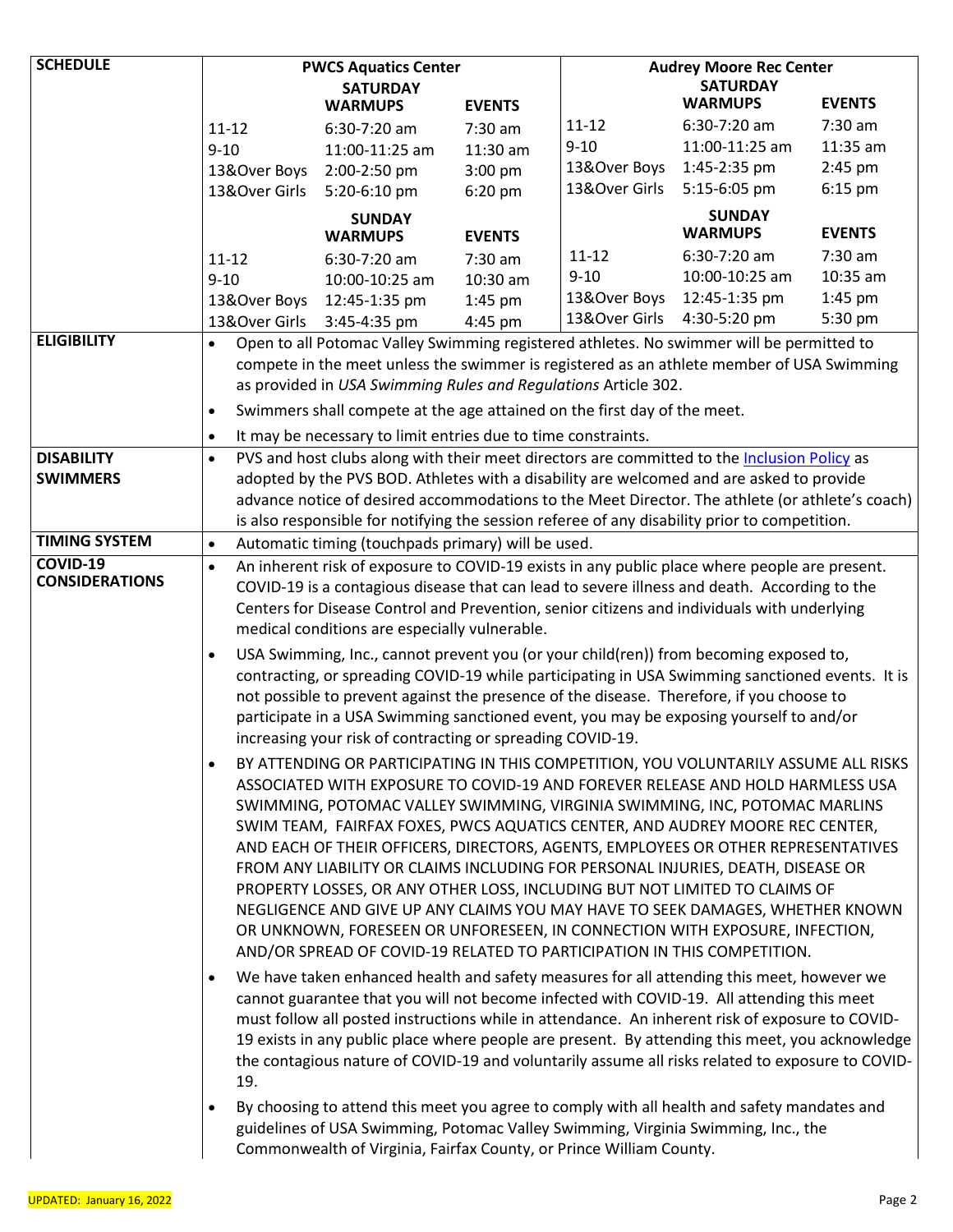| <b>SCHEDULE</b>       | <b>PWCS Aquatics Center</b>                                                                                                                                                                                                                                                                            |                                                                                                                                                                                        | <b>Audrey Moore Rec Center</b>                     |               |                                |               |  |
|-----------------------|--------------------------------------------------------------------------------------------------------------------------------------------------------------------------------------------------------------------------------------------------------------------------------------------------------|----------------------------------------------------------------------------------------------------------------------------------------------------------------------------------------|----------------------------------------------------|---------------|--------------------------------|---------------|--|
|                       | <b>SATURDAY</b>                                                                                                                                                                                                                                                                                        |                                                                                                                                                                                        | <b>SATURDAY</b><br><b>WARMUPS</b><br><b>EVENTS</b> |               |                                |               |  |
|                       |                                                                                                                                                                                                                                                                                                        | <b>WARMUPS</b>                                                                                                                                                                         | <b>EVENTS</b>                                      | $11 - 12$     |                                | 7:30 am       |  |
|                       | $11 - 12$                                                                                                                                                                                                                                                                                              | 6:30-7:20 am                                                                                                                                                                           | 7:30 am                                            | $9 - 10$      | 6:30-7:20 am<br>11:00-11:25 am | 11:35 am      |  |
|                       | $9 - 10$<br>13&Over Boys                                                                                                                                                                                                                                                                               | 11:00-11:25 am                                                                                                                                                                         | 11:30 am<br>$3:00$ pm                              | 13&Over Boys  | 1:45-2:35 pm                   | 2:45 pm       |  |
|                       | 13&Over Girls                                                                                                                                                                                                                                                                                          | 2:00-2:50 pm<br>5:20-6:10 pm                                                                                                                                                           | $6:20$ pm                                          | 13&Over Girls | 5:15-6:05 pm                   | $6:15$ pm     |  |
|                       |                                                                                                                                                                                                                                                                                                        |                                                                                                                                                                                        |                                                    |               | <b>SUNDAY</b>                  |               |  |
|                       |                                                                                                                                                                                                                                                                                                        | <b>SUNDAY</b><br><b>WARMUPS</b>                                                                                                                                                        | <b>EVENTS</b>                                      |               | <b>WARMUPS</b>                 | <b>EVENTS</b> |  |
|                       | $11 - 12$                                                                                                                                                                                                                                                                                              | 6:30-7:20 am                                                                                                                                                                           | $7:30$ am                                          | $11 - 12$     | 6:30-7:20 am                   | 7:30 am       |  |
|                       | $9 - 10$                                                                                                                                                                                                                                                                                               | 10:00-10:25 am                                                                                                                                                                         | 10:30 am                                           | $9 - 10$      | 10:00-10:25 am                 | 10:35 am      |  |
|                       | 13&Over Boys                                                                                                                                                                                                                                                                                           | 12:45-1:35 pm                                                                                                                                                                          | $1:45$ pm                                          | 13&Over Boys  | 12:45-1:35 pm                  | $1:45$ pm     |  |
|                       | 13&Over Girls                                                                                                                                                                                                                                                                                          | 3:45-4:35 pm                                                                                                                                                                           | 4:45 pm                                            | 13&Over Girls | 4:30-5:20 pm                   | 5:30 pm       |  |
| <b>ELIGIBILITY</b>    | $\bullet$                                                                                                                                                                                                                                                                                              | Open to all Potomac Valley Swimming registered athletes. No swimmer will be permitted to                                                                                               |                                                    |               |                                |               |  |
|                       |                                                                                                                                                                                                                                                                                                        | compete in the meet unless the swimmer is registered as an athlete member of USA Swimming                                                                                              |                                                    |               |                                |               |  |
|                       |                                                                                                                                                                                                                                                                                                        | as provided in USA Swimming Rules and Regulations Article 302.                                                                                                                         |                                                    |               |                                |               |  |
|                       | $\bullet$                                                                                                                                                                                                                                                                                              | Swimmers shall compete at the age attained on the first day of the meet.                                                                                                               |                                                    |               |                                |               |  |
|                       | $\bullet$                                                                                                                                                                                                                                                                                              | It may be necessary to limit entries due to time constraints.                                                                                                                          |                                                    |               |                                |               |  |
| <b>DISABILITY</b>     | $\bullet$                                                                                                                                                                                                                                                                                              | PVS and host clubs along with their meet directors are committed to the Inclusion Policy as                                                                                            |                                                    |               |                                |               |  |
| <b>SWIMMERS</b>       |                                                                                                                                                                                                                                                                                                        | adopted by the PVS BOD. Athletes with a disability are welcomed and are asked to provide                                                                                               |                                                    |               |                                |               |  |
|                       |                                                                                                                                                                                                                                                                                                        | advance notice of desired accommodations to the Meet Director. The athlete (or athlete's coach)                                                                                        |                                                    |               |                                |               |  |
| <b>TIMING SYSTEM</b>  | $\bullet$                                                                                                                                                                                                                                                                                              | is also responsible for notifying the session referee of any disability prior to competition.<br>Automatic timing (touchpads primary) will be used.                                    |                                                    |               |                                |               |  |
| <b>COVID-19</b>       | $\bullet$                                                                                                                                                                                                                                                                                              | An inherent risk of exposure to COVID-19 exists in any public place where people are present.                                                                                          |                                                    |               |                                |               |  |
| <b>CONSIDERATIONS</b> |                                                                                                                                                                                                                                                                                                        | COVID-19 is a contagious disease that can lead to severe illness and death. According to the                                                                                           |                                                    |               |                                |               |  |
|                       |                                                                                                                                                                                                                                                                                                        | Centers for Disease Control and Prevention, senior citizens and individuals with underlying                                                                                            |                                                    |               |                                |               |  |
|                       |                                                                                                                                                                                                                                                                                                        | medical conditions are especially vulnerable.                                                                                                                                          |                                                    |               |                                |               |  |
|                       | $\bullet$                                                                                                                                                                                                                                                                                              | USA Swimming, Inc., cannot prevent you (or your child(ren)) from becoming exposed to,                                                                                                  |                                                    |               |                                |               |  |
|                       |                                                                                                                                                                                                                                                                                                        | contracting, or spreading COVID-19 while participating in USA Swimming sanctioned events. It is                                                                                        |                                                    |               |                                |               |  |
|                       |                                                                                                                                                                                                                                                                                                        | not possible to prevent against the presence of the disease. Therefore, if you choose to                                                                                               |                                                    |               |                                |               |  |
|                       |                                                                                                                                                                                                                                                                                                        | participate in a USA Swimming sanctioned event, you may be exposing yourself to and/or                                                                                                 |                                                    |               |                                |               |  |
|                       |                                                                                                                                                                                                                                                                                                        | increasing your risk of contracting or spreading COVID-19.                                                                                                                             |                                                    |               |                                |               |  |
|                       | $\bullet$                                                                                                                                                                                                                                                                                              | BY ATTENDING OR PARTICIPATING IN THIS COMPETITION, YOU VOLUNTARILY ASSUME ALL RISKS                                                                                                    |                                                    |               |                                |               |  |
|                       |                                                                                                                                                                                                                                                                                                        | ASSOCIATED WITH EXPOSURE TO COVID-19 AND FOREVER RELEASE AND HOLD HARMLESS USA                                                                                                         |                                                    |               |                                |               |  |
|                       |                                                                                                                                                                                                                                                                                                        | SWIMMING, POTOMAC VALLEY SWIMMING, VIRGINIA SWIMMING, INC, POTOMAC MARLINS                                                                                                             |                                                    |               |                                |               |  |
|                       |                                                                                                                                                                                                                                                                                                        | SWIM TEAM, FAIRFAX FOXES, PWCS AQUATICS CENTER, AND AUDREY MOORE REC CENTER,                                                                                                           |                                                    |               |                                |               |  |
|                       |                                                                                                                                                                                                                                                                                                        | AND EACH OF THEIR OFFICERS, DIRECTORS, AGENTS, EMPLOYEES OR OTHER REPRESENTATIVES                                                                                                      |                                                    |               |                                |               |  |
|                       |                                                                                                                                                                                                                                                                                                        | FROM ANY LIABILITY OR CLAIMS INCLUDING FOR PERSONAL INJURIES, DEATH, DISEASE OR                                                                                                        |                                                    |               |                                |               |  |
|                       |                                                                                                                                                                                                                                                                                                        | PROPERTY LOSSES, OR ANY OTHER LOSS, INCLUDING BUT NOT LIMITED TO CLAIMS OF                                                                                                             |                                                    |               |                                |               |  |
|                       |                                                                                                                                                                                                                                                                                                        | NEGLIGENCE AND GIVE UP ANY CLAIMS YOU MAY HAVE TO SEEK DAMAGES, WHETHER KNOWN<br>OR UNKNOWN, FORESEEN OR UNFORESEEN, IN CONNECTION WITH EXPOSURE, INFECTION,                           |                                                    |               |                                |               |  |
|                       |                                                                                                                                                                                                                                                                                                        | AND/OR SPREAD OF COVID-19 RELATED TO PARTICIPATION IN THIS COMPETITION.                                                                                                                |                                                    |               |                                |               |  |
|                       |                                                                                                                                                                                                                                                                                                        |                                                                                                                                                                                        |                                                    |               |                                |               |  |
|                       | ٠                                                                                                                                                                                                                                                                                                      | We have taken enhanced health and safety measures for all attending this meet, however we<br>cannot guarantee that you will not become infected with COVID-19. All attending this meet |                                                    |               |                                |               |  |
|                       |                                                                                                                                                                                                                                                                                                        |                                                                                                                                                                                        |                                                    |               |                                |               |  |
|                       | must follow all posted instructions while in attendance. An inherent risk of exposure to COVID-<br>19 exists in any public place where people are present. By attending this meet, you acknowledge<br>the contagious nature of COVID-19 and voluntarily assume all risks related to exposure to COVID- |                                                                                                                                                                                        |                                                    |               |                                |               |  |
|                       |                                                                                                                                                                                                                                                                                                        |                                                                                                                                                                                        |                                                    |               |                                |               |  |
|                       | 19.                                                                                                                                                                                                                                                                                                    |                                                                                                                                                                                        |                                                    |               |                                |               |  |
|                       | $\bullet$                                                                                                                                                                                                                                                                                              | By choosing to attend this meet you agree to comply with all health and safety mandates and                                                                                            |                                                    |               |                                |               |  |
|                       |                                                                                                                                                                                                                                                                                                        | guidelines of USA Swimming, Potomac Valley Swimming, Virginia Swimming, Inc., the                                                                                                      |                                                    |               |                                |               |  |
|                       |                                                                                                                                                                                                                                                                                                        | Commonwealth of Virginia, Fairfax County, or Prince William County.                                                                                                                    |                                                    |               |                                |               |  |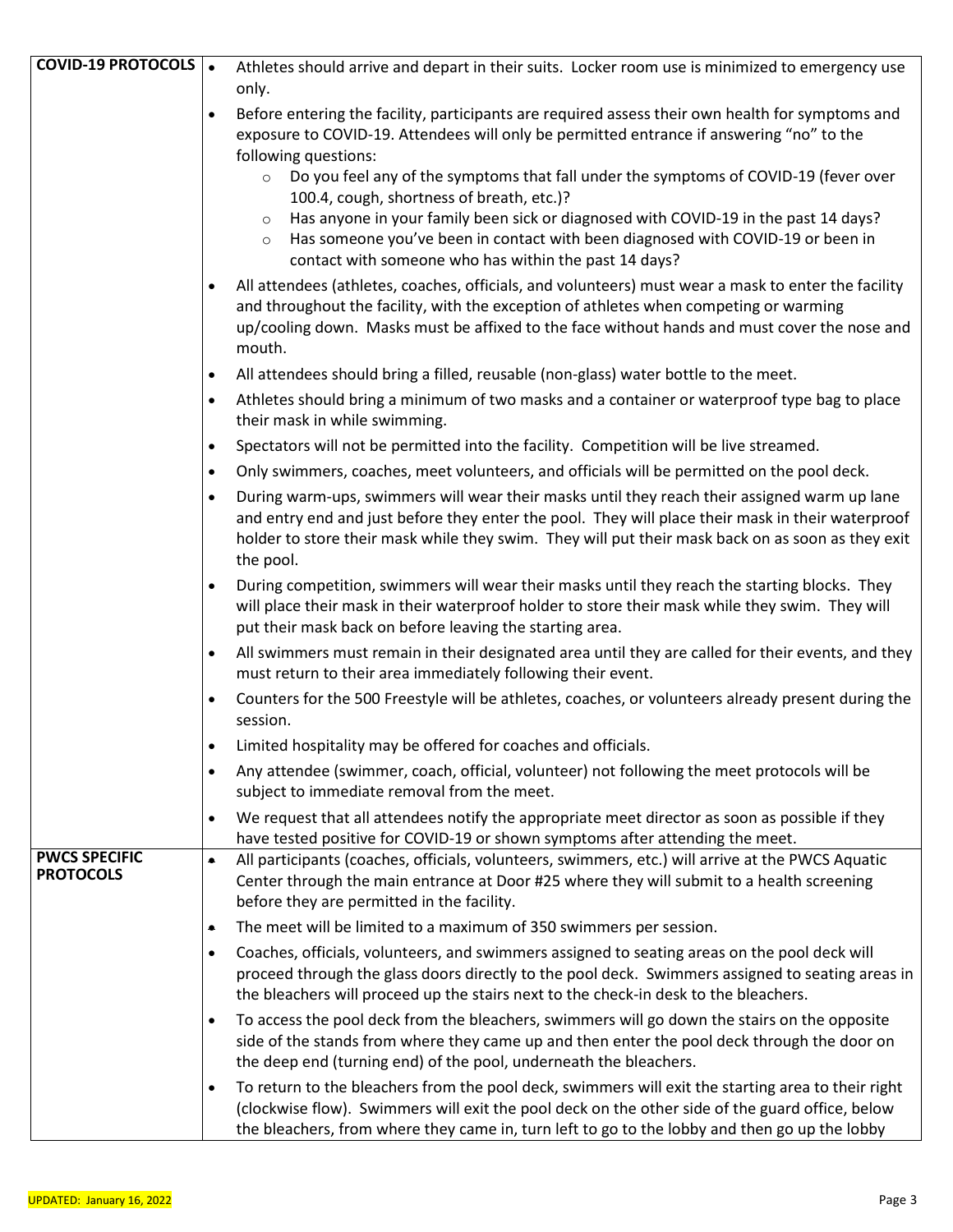| <b>COVID-19 PROTOCOLS</b> .              | Athletes should arrive and depart in their suits. Locker room use is minimized to emergency use<br>only.                                                                                                                                                                                                                                                                                                                                                                                                                                                                                                                                   |
|------------------------------------------|--------------------------------------------------------------------------------------------------------------------------------------------------------------------------------------------------------------------------------------------------------------------------------------------------------------------------------------------------------------------------------------------------------------------------------------------------------------------------------------------------------------------------------------------------------------------------------------------------------------------------------------------|
|                                          | Before entering the facility, participants are required assess their own health for symptoms and<br>$\bullet$<br>exposure to COVID-19. Attendees will only be permitted entrance if answering "no" to the<br>following questions:<br>Do you feel any of the symptoms that fall under the symptoms of COVID-19 (fever over<br>$\circ$<br>100.4, cough, shortness of breath, etc.)?<br>Has anyone in your family been sick or diagnosed with COVID-19 in the past 14 days?<br>$\circ$<br>Has someone you've been in contact with been diagnosed with COVID-19 or been in<br>$\circ$<br>contact with someone who has within the past 14 days? |
|                                          | All attendees (athletes, coaches, officials, and volunteers) must wear a mask to enter the facility<br>and throughout the facility, with the exception of athletes when competing or warming<br>up/cooling down. Masks must be affixed to the face without hands and must cover the nose and<br>mouth.                                                                                                                                                                                                                                                                                                                                     |
|                                          | All attendees should bring a filled, reusable (non-glass) water bottle to the meet.<br>$\bullet$                                                                                                                                                                                                                                                                                                                                                                                                                                                                                                                                           |
|                                          | Athletes should bring a minimum of two masks and a container or waterproof type bag to place<br>$\bullet$<br>their mask in while swimming.                                                                                                                                                                                                                                                                                                                                                                                                                                                                                                 |
|                                          | Spectators will not be permitted into the facility. Competition will be live streamed.<br>$\bullet$                                                                                                                                                                                                                                                                                                                                                                                                                                                                                                                                        |
|                                          | Only swimmers, coaches, meet volunteers, and officials will be permitted on the pool deck.<br>$\bullet$                                                                                                                                                                                                                                                                                                                                                                                                                                                                                                                                    |
|                                          | During warm-ups, swimmers will wear their masks until they reach their assigned warm up lane<br>$\bullet$<br>and entry end and just before they enter the pool. They will place their mask in their waterproof<br>holder to store their mask while they swim. They will put their mask back on as soon as they exit<br>the pool.                                                                                                                                                                                                                                                                                                           |
|                                          | During competition, swimmers will wear their masks until they reach the starting blocks. They<br>$\bullet$<br>will place their mask in their waterproof holder to store their mask while they swim. They will<br>put their mask back on before leaving the starting area.                                                                                                                                                                                                                                                                                                                                                                  |
|                                          | All swimmers must remain in their designated area until they are called for their events, and they<br>$\bullet$<br>must return to their area immediately following their event.                                                                                                                                                                                                                                                                                                                                                                                                                                                            |
|                                          | Counters for the 500 Freestyle will be athletes, coaches, or volunteers already present during the<br>$\bullet$<br>session.                                                                                                                                                                                                                                                                                                                                                                                                                                                                                                                |
|                                          | Limited hospitality may be offered for coaches and officials.<br>$\bullet$                                                                                                                                                                                                                                                                                                                                                                                                                                                                                                                                                                 |
|                                          | Any attendee (swimmer, coach, official, volunteer) not following the meet protocols will be<br>$\bullet$<br>subject to immediate removal from the meet.                                                                                                                                                                                                                                                                                                                                                                                                                                                                                    |
|                                          | We request that all attendees notify the appropriate meet director as soon as possible if they<br>$\bullet$<br>have tested positive for COVID-19 or shown symptoms after attending the meet.                                                                                                                                                                                                                                                                                                                                                                                                                                               |
| <b>PWCS SPECIFIC</b><br><b>PROTOCOLS</b> | All participants (coaches, officials, volunteers, swimmers, etc.) will arrive at the PWCS Aquatic<br>۰<br>Center through the main entrance at Door #25 where they will submit to a health screening<br>before they are permitted in the facility.                                                                                                                                                                                                                                                                                                                                                                                          |
|                                          | The meet will be limited to a maximum of 350 swimmers per session.<br>۰                                                                                                                                                                                                                                                                                                                                                                                                                                                                                                                                                                    |
|                                          | Coaches, officials, volunteers, and swimmers assigned to seating areas on the pool deck will<br>$\bullet$<br>proceed through the glass doors directly to the pool deck. Swimmers assigned to seating areas in<br>the bleachers will proceed up the stairs next to the check-in desk to the bleachers.                                                                                                                                                                                                                                                                                                                                      |
|                                          | To access the pool deck from the bleachers, swimmers will go down the stairs on the opposite<br>$\bullet$<br>side of the stands from where they came up and then enter the pool deck through the door on<br>the deep end (turning end) of the pool, underneath the bleachers.                                                                                                                                                                                                                                                                                                                                                              |
|                                          | To return to the bleachers from the pool deck, swimmers will exit the starting area to their right<br>$\bullet$<br>(clockwise flow). Swimmers will exit the pool deck on the other side of the guard office, below<br>the bleachers, from where they came in, turn left to go to the lobby and then go up the lobby                                                                                                                                                                                                                                                                                                                        |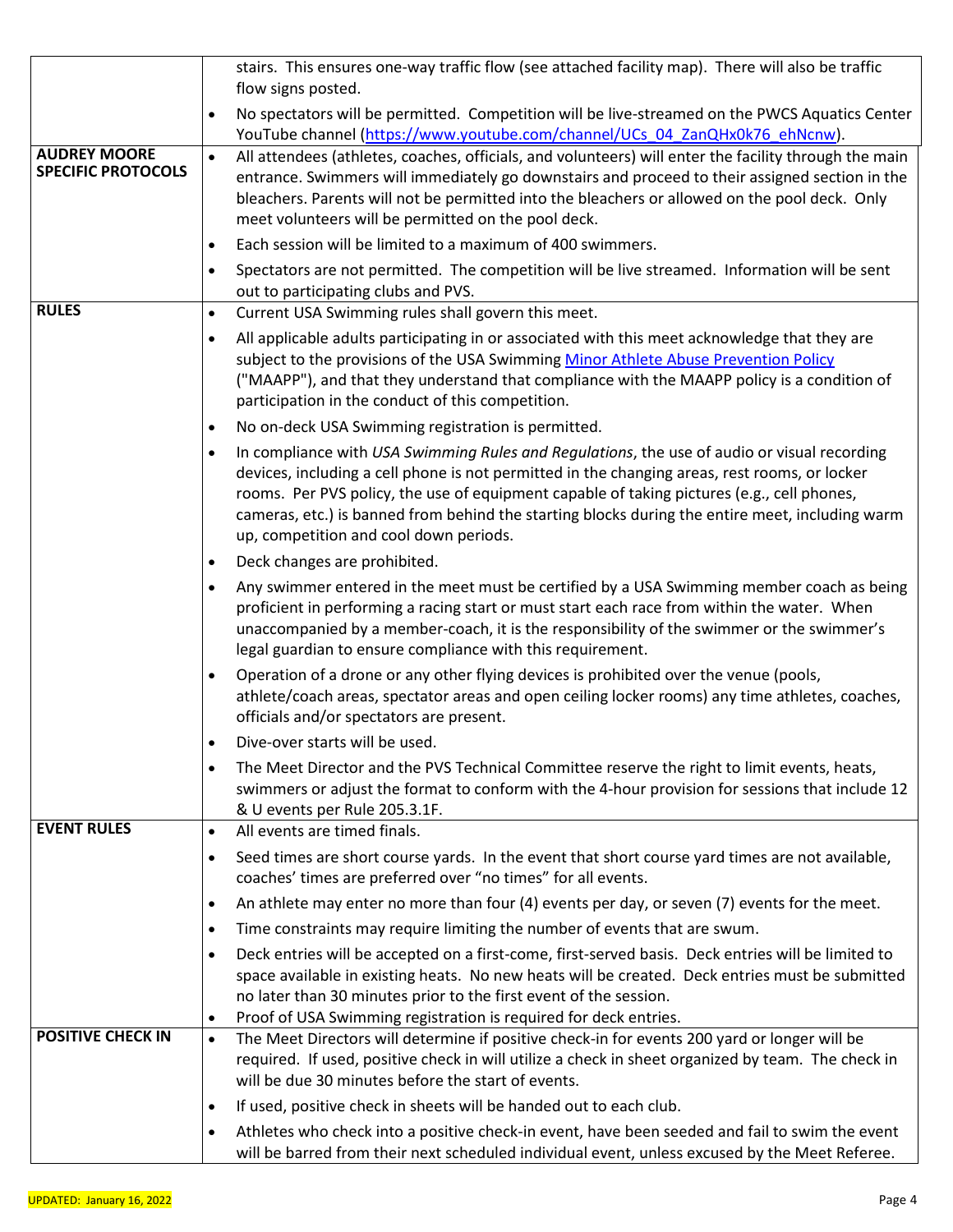|                                                  | stairs. This ensures one-way traffic flow (see attached facility map). There will also be traffic<br>flow signs posted.                                                                                                                                                                                                                                                                                                                              |
|--------------------------------------------------|------------------------------------------------------------------------------------------------------------------------------------------------------------------------------------------------------------------------------------------------------------------------------------------------------------------------------------------------------------------------------------------------------------------------------------------------------|
|                                                  | No spectators will be permitted. Competition will be live-streamed on the PWCS Aquatics Center<br>$\bullet$<br>YouTube channel (https://www.youtube.com/channel/UCs 04 ZanQHx0k76 ehNcnw).                                                                                                                                                                                                                                                           |
| <b>AUDREY MOORE</b><br><b>SPECIFIC PROTOCOLS</b> | All attendees (athletes, coaches, officials, and volunteers) will enter the facility through the main<br>$\bullet$<br>entrance. Swimmers will immediately go downstairs and proceed to their assigned section in the<br>bleachers. Parents will not be permitted into the bleachers or allowed on the pool deck. Only<br>meet volunteers will be permitted on the pool deck.                                                                         |
|                                                  | Each session will be limited to a maximum of 400 swimmers.<br>$\bullet$                                                                                                                                                                                                                                                                                                                                                                              |
|                                                  | Spectators are not permitted. The competition will be live streamed. Information will be sent<br>$\bullet$<br>out to participating clubs and PVS.                                                                                                                                                                                                                                                                                                    |
| <b>RULES</b>                                     | Current USA Swimming rules shall govern this meet.<br>$\bullet$                                                                                                                                                                                                                                                                                                                                                                                      |
|                                                  | All applicable adults participating in or associated with this meet acknowledge that they are<br>$\bullet$<br>subject to the provisions of the USA Swimming Minor Athlete Abuse Prevention Policy<br>("MAAPP"), and that they understand that compliance with the MAAPP policy is a condition of<br>participation in the conduct of this competition.                                                                                                |
|                                                  | No on-deck USA Swimming registration is permitted.<br>٠                                                                                                                                                                                                                                                                                                                                                                                              |
|                                                  | In compliance with USA Swimming Rules and Regulations, the use of audio or visual recording<br>$\bullet$<br>devices, including a cell phone is not permitted in the changing areas, rest rooms, or locker<br>rooms. Per PVS policy, the use of equipment capable of taking pictures (e.g., cell phones,<br>cameras, etc.) is banned from behind the starting blocks during the entire meet, including warm<br>up, competition and cool down periods. |
|                                                  | Deck changes are prohibited.<br>$\bullet$                                                                                                                                                                                                                                                                                                                                                                                                            |
|                                                  | Any swimmer entered in the meet must be certified by a USA Swimming member coach as being<br>$\bullet$<br>proficient in performing a racing start or must start each race from within the water. When<br>unaccompanied by a member-coach, it is the responsibility of the swimmer or the swimmer's<br>legal guardian to ensure compliance with this requirement.                                                                                     |
|                                                  | Operation of a drone or any other flying devices is prohibited over the venue (pools,<br>$\bullet$<br>athlete/coach areas, spectator areas and open ceiling locker rooms) any time athletes, coaches,<br>officials and/or spectators are present.                                                                                                                                                                                                    |
|                                                  | Dive-over starts will be used.<br>$\bullet$                                                                                                                                                                                                                                                                                                                                                                                                          |
|                                                  | The Meet Director and the PVS Technical Committee reserve the right to limit events, heats,<br>$\bullet$<br>swimmers or adjust the format to conform with the 4-hour provision for sessions that include 12<br>& U events per Rule 205.3.1F.                                                                                                                                                                                                         |
| <b>EVENT RULES</b>                               | All events are timed finals.<br>$\bullet$                                                                                                                                                                                                                                                                                                                                                                                                            |
|                                                  | Seed times are short course yards. In the event that short course yard times are not available,<br>$\bullet$<br>coaches' times are preferred over "no times" for all events.                                                                                                                                                                                                                                                                         |
|                                                  | An athlete may enter no more than four (4) events per day, or seven (7) events for the meet.<br>٠                                                                                                                                                                                                                                                                                                                                                    |
|                                                  | Time constraints may require limiting the number of events that are swum.<br>٠                                                                                                                                                                                                                                                                                                                                                                       |
|                                                  | Deck entries will be accepted on a first-come, first-served basis. Deck entries will be limited to<br>$\bullet$<br>space available in existing heats. No new heats will be created. Deck entries must be submitted<br>no later than 30 minutes prior to the first event of the session.                                                                                                                                                              |
| <b>POSITIVE CHECK IN</b>                         | Proof of USA Swimming registration is required for deck entries.<br>٠<br>The Meet Directors will determine if positive check-in for events 200 yard or longer will be<br>$\bullet$                                                                                                                                                                                                                                                                   |
|                                                  | required. If used, positive check in will utilize a check in sheet organized by team. The check in<br>will be due 30 minutes before the start of events.                                                                                                                                                                                                                                                                                             |
|                                                  | If used, positive check in sheets will be handed out to each club.<br>$\bullet$                                                                                                                                                                                                                                                                                                                                                                      |
|                                                  | Athletes who check into a positive check-in event, have been seeded and fail to swim the event<br>$\bullet$<br>will be barred from their next scheduled individual event, unless excused by the Meet Referee.                                                                                                                                                                                                                                        |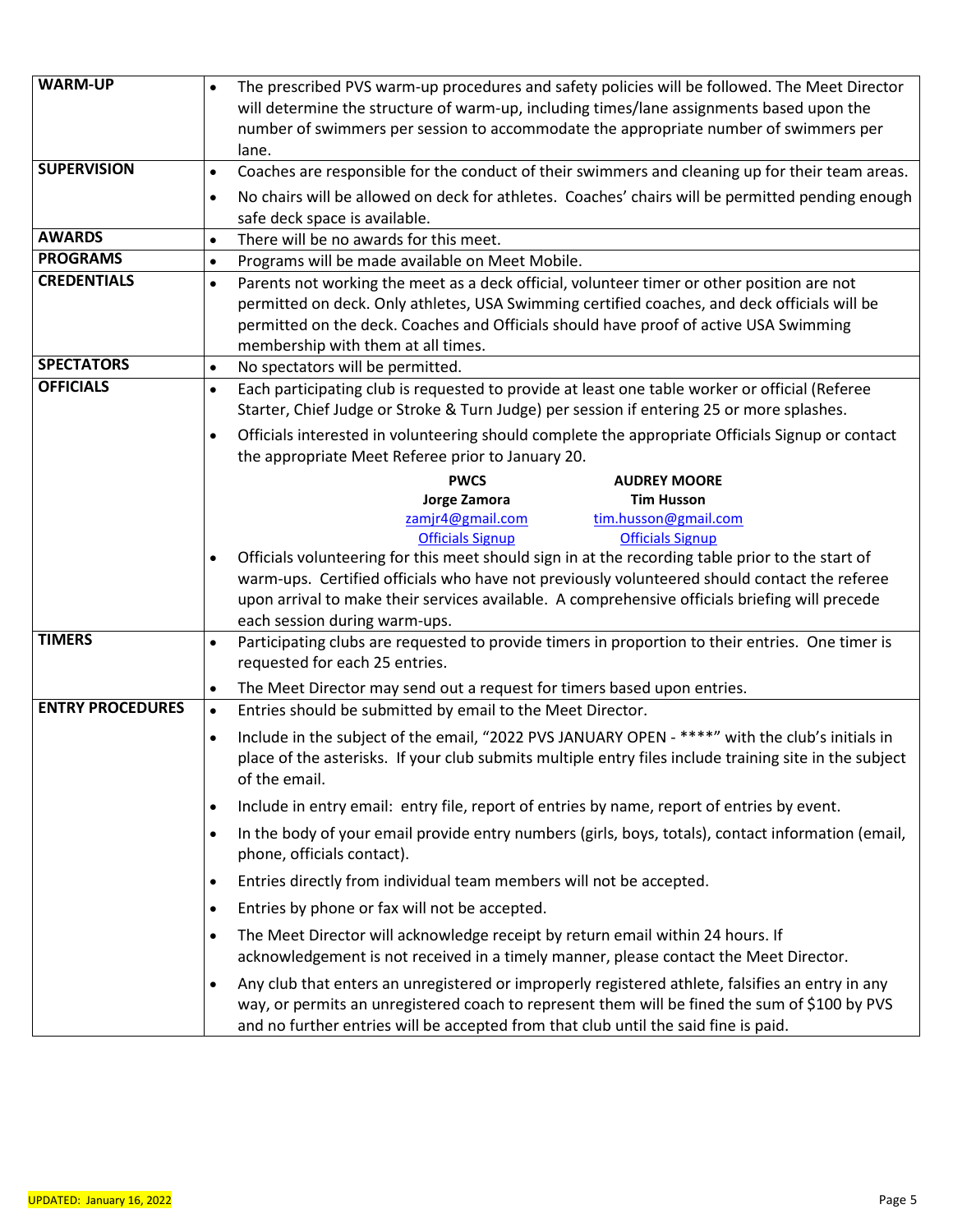| <b>WARM-UP</b>          | The prescribed PVS warm-up procedures and safety policies will be followed. The Meet Director<br>$\bullet$<br>will determine the structure of warm-up, including times/lane assignments based upon the                                                                                                |
|-------------------------|-------------------------------------------------------------------------------------------------------------------------------------------------------------------------------------------------------------------------------------------------------------------------------------------------------|
|                         | number of swimmers per session to accommodate the appropriate number of swimmers per                                                                                                                                                                                                                  |
| <b>SUPERVISION</b>      | lane.                                                                                                                                                                                                                                                                                                 |
|                         | Coaches are responsible for the conduct of their swimmers and cleaning up for their team areas.<br>$\bullet$                                                                                                                                                                                          |
|                         | No chairs will be allowed on deck for athletes. Coaches' chairs will be permitted pending enough<br>$\bullet$<br>safe deck space is available.                                                                                                                                                        |
| <b>AWARDS</b>           | There will be no awards for this meet.<br>$\bullet$                                                                                                                                                                                                                                                   |
| <b>PROGRAMS</b>         | Programs will be made available on Meet Mobile.<br>$\bullet$                                                                                                                                                                                                                                          |
| <b>CREDENTIALS</b>      | Parents not working the meet as a deck official, volunteer timer or other position are not<br>$\bullet$                                                                                                                                                                                               |
|                         | permitted on deck. Only athletes, USA Swimming certified coaches, and deck officials will be                                                                                                                                                                                                          |
|                         | permitted on the deck. Coaches and Officials should have proof of active USA Swimming                                                                                                                                                                                                                 |
| <b>SPECTATORS</b>       | membership with them at all times.<br>No spectators will be permitted.<br>$\bullet$                                                                                                                                                                                                                   |
| <b>OFFICIALS</b>        | Each participating club is requested to provide at least one table worker or official (Referee<br>$\bullet$                                                                                                                                                                                           |
|                         | Starter, Chief Judge or Stroke & Turn Judge) per session if entering 25 or more splashes.                                                                                                                                                                                                             |
|                         | Officials interested in volunteering should complete the appropriate Officials Signup or contact<br>$\bullet$                                                                                                                                                                                         |
|                         | the appropriate Meet Referee prior to January 20.                                                                                                                                                                                                                                                     |
|                         | <b>PWCS</b><br><b>AUDREY MOORE</b>                                                                                                                                                                                                                                                                    |
|                         | <b>Jorge Zamora</b><br><b>Tim Husson</b>                                                                                                                                                                                                                                                              |
|                         | zamjr4@gmail.com<br>tim.husson@gmail.com<br><b>Officials Signup</b><br><b>Officials Signup</b>                                                                                                                                                                                                        |
|                         | Officials volunteering for this meet should sign in at the recording table prior to the start of<br>$\bullet$                                                                                                                                                                                         |
|                         | warm-ups. Certified officials who have not previously volunteered should contact the referee                                                                                                                                                                                                          |
|                         | upon arrival to make their services available. A comprehensive officials briefing will precede                                                                                                                                                                                                        |
|                         | each session during warm-ups.                                                                                                                                                                                                                                                                         |
| <b>TIMERS</b>           | Participating clubs are requested to provide timers in proportion to their entries. One timer is<br>$\bullet$<br>requested for each 25 entries.                                                                                                                                                       |
|                         | The Meet Director may send out a request for timers based upon entries.<br>$\bullet$                                                                                                                                                                                                                  |
| <b>ENTRY PROCEDURES</b> | Entries should be submitted by email to the Meet Director.<br>$\bullet$                                                                                                                                                                                                                               |
|                         | Include in the subject of the email, "2022 PVS JANUARY OPEN - ****" with the club's initials in<br>$\bullet$<br>place of the asterisks. If your club submits multiple entry files include training site in the subject<br>of the email.                                                               |
|                         | Include in entry email: entry file, report of entries by name, report of entries by event.<br>$\bullet$                                                                                                                                                                                               |
|                         | In the body of your email provide entry numbers (girls, boys, totals), contact information (email,<br>$\bullet$<br>phone, officials contact).                                                                                                                                                         |
|                         | Entries directly from individual team members will not be accepted.<br>$\bullet$                                                                                                                                                                                                                      |
|                         | Entries by phone or fax will not be accepted.<br>$\bullet$                                                                                                                                                                                                                                            |
|                         | The Meet Director will acknowledge receipt by return email within 24 hours. If<br>$\bullet$                                                                                                                                                                                                           |
|                         | acknowledgement is not received in a timely manner, please contact the Meet Director.                                                                                                                                                                                                                 |
|                         | Any club that enters an unregistered or improperly registered athlete, falsifies an entry in any<br>$\bullet$<br>way, or permits an unregistered coach to represent them will be fined the sum of \$100 by PVS<br>and no further entries will be accepted from that club until the said fine is paid. |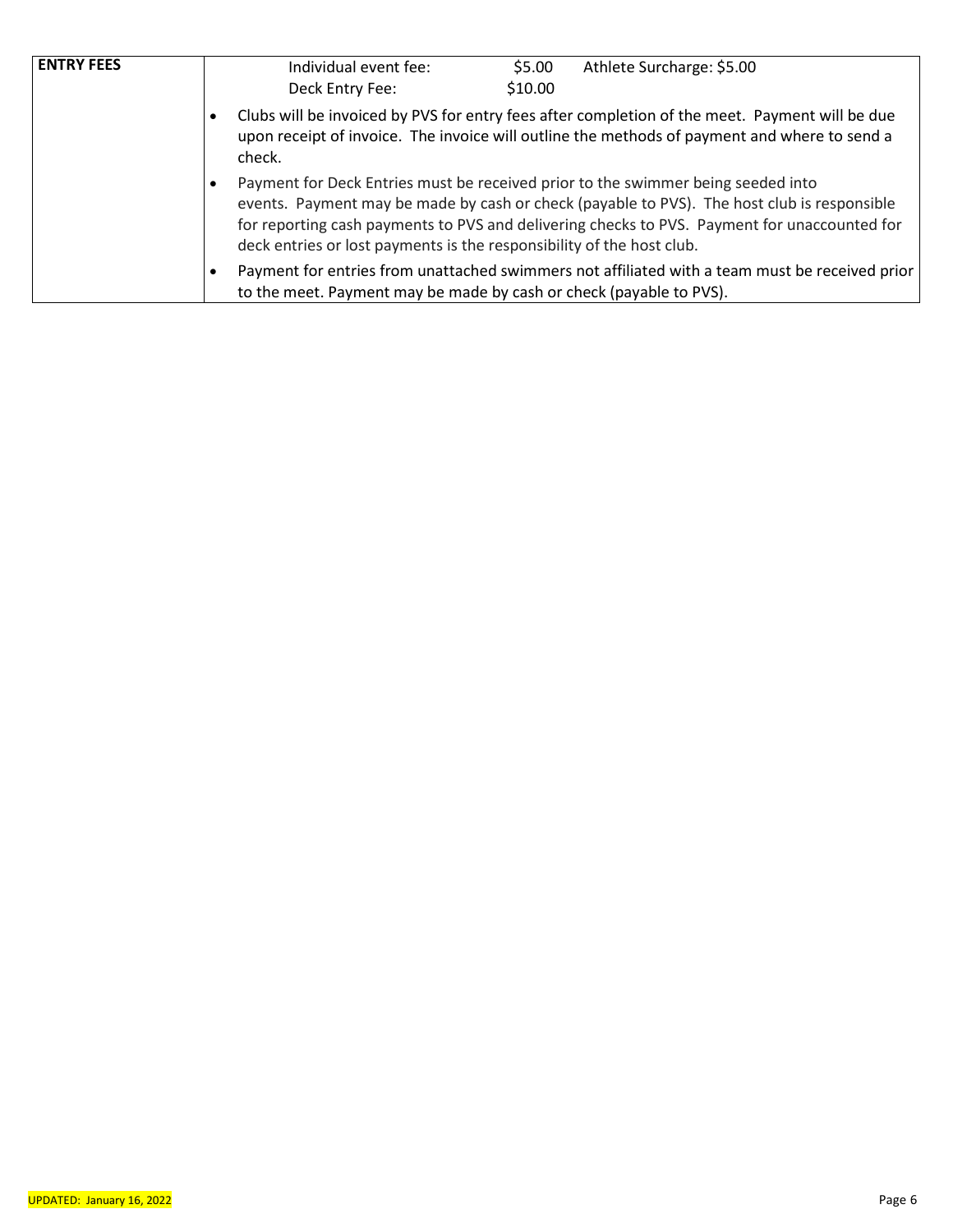| <b>ENTRY FEES</b> | Individual event fee:<br>Deck Entry Fee:                                                                                                                                                                 | \$5.00<br>\$10.00 | Athlete Surcharge: \$5.00                                                                                                                                                                                                                                                       |  |  |  |  |
|-------------------|----------------------------------------------------------------------------------------------------------------------------------------------------------------------------------------------------------|-------------------|---------------------------------------------------------------------------------------------------------------------------------------------------------------------------------------------------------------------------------------------------------------------------------|--|--|--|--|
|                   | Clubs will be invoiced by PVS for entry fees after completion of the meet. Payment will be due<br>upon receipt of invoice. The invoice will outline the methods of payment and where to send a<br>check. |                   |                                                                                                                                                                                                                                                                                 |  |  |  |  |
|                   | deck entries or lost payments is the responsibility of the host club.                                                                                                                                    |                   | Payment for Deck Entries must be received prior to the swimmer being seeded into<br>events. Payment may be made by cash or check (payable to PVS). The host club is responsible<br>for reporting cash payments to PVS and delivering checks to PVS. Payment for unaccounted for |  |  |  |  |
|                   | to the meet. Payment may be made by cash or check (payable to PVS).                                                                                                                                      |                   | Payment for entries from unattached swimmers not affiliated with a team must be received prior                                                                                                                                                                                  |  |  |  |  |